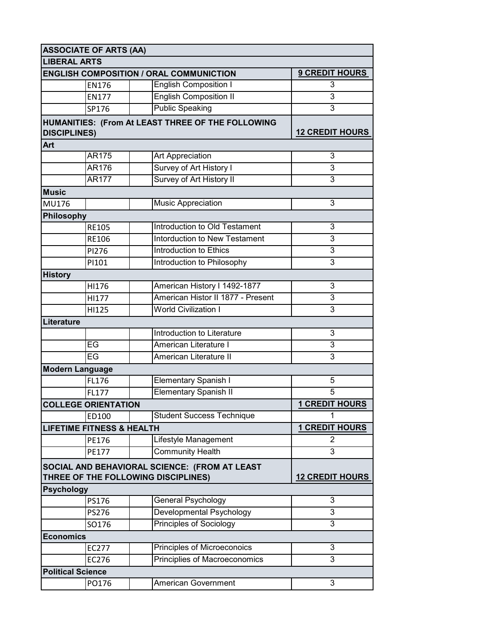|                                                | <b>ASSOCIATE OF ARTS (AA)</b>                     |                                               |                        |
|------------------------------------------------|---------------------------------------------------|-----------------------------------------------|------------------------|
| <b>LIBERAL ARTS</b>                            |                                                   |                                               |                        |
| <b>ENGLISH COMPOSITION / ORAL COMMUNICTION</b> |                                                   |                                               | <b>9 CREDIT HOURS</b>  |
|                                                | <b>EN176</b>                                      | <b>English Composition I</b>                  | 3                      |
|                                                | <b>EN177</b>                                      | <b>English Composition II</b>                 | 3                      |
|                                                | SP176                                             | <b>Public Speaking</b>                        | 3                      |
| <b>DISCIPLINES)</b>                            | HUMANITIES: (From At LEAST THREE OF THE FOLLOWING | <b>12 CREDIT HOURS</b>                        |                        |
| Art                                            |                                                   |                                               |                        |
|                                                | AR175                                             | Art Appreciation                              | 3                      |
|                                                | AR176                                             | Survey of Art History I                       | 3                      |
|                                                | <b>AR177</b>                                      | Survey of Art History II                      | 3                      |
| <b>Music</b>                                   |                                                   |                                               |                        |
| MU176                                          |                                                   | <b>Music Appreciation</b>                     | 3                      |
| Philosophy                                     |                                                   |                                               |                        |
|                                                | <b>RE105</b>                                      | Introduction to Old Testament                 | 3                      |
|                                                | <b>RE106</b>                                      | Intorduction to New Testament                 | 3                      |
|                                                | PI276                                             | Introduction to Ethics                        | 3                      |
|                                                | PI101                                             | Introduction to Philosophy                    | 3                      |
| <b>History</b>                                 |                                                   |                                               |                        |
|                                                | HI176                                             | American History I 1492-1877                  | 3                      |
|                                                | HI177                                             | American Histor II 1877 - Present             | 3                      |
|                                                | HI125                                             | <b>World Civilization I</b>                   | 3                      |
| Literature                                     |                                                   |                                               |                        |
|                                                |                                                   | Introduction to Literature                    | 3                      |
|                                                | EG                                                | American Literature I                         | 3                      |
|                                                | $E$ G                                             | American Literature II                        | 3                      |
|                                                | <b>Modern Language</b>                            |                                               |                        |
|                                                | FL176                                             | <b>Elementary Spanish I</b>                   | 5                      |
|                                                | FL177                                             | <b>Elementary Spanish II</b>                  | 5                      |
|                                                | <b>COLLEGE ORIENTATION</b>                        |                                               | <b>1 CREDIT HOURS</b>  |
|                                                | ED100                                             | <b>Student Success Technique</b>              | 1                      |
|                                                | <b>LIFETIME FITNESS &amp; HEALTH</b>              |                                               | <b>1 CREDIT HOURS</b>  |
|                                                | PE176                                             | Lifestyle Management                          | 2                      |
|                                                | PE177                                             | <b>Community Health</b>                       | 3                      |
|                                                |                                                   | SOCIAL AND BEHAVIORAL SCIENCE: (FROM AT LEAST |                        |
|                                                |                                                   | THREE OF THE FOLLOWING DISCIPLINES)           | <b>12 CREDIT HOURS</b> |
| <b>Psychology</b>                              |                                                   |                                               |                        |
|                                                | <b>PS176</b>                                      | General Psychology                            | 3                      |
|                                                | PS276                                             | <b>Developmental Psychology</b>               | 3                      |
|                                                | SO176                                             | <b>Principles of Sociology</b>                | $\overline{3}$         |
| <b>Economics</b>                               |                                                   |                                               |                        |
|                                                | EC277                                             | Principles of Microeconoics                   | 3                      |
|                                                | EC276                                             | Principlies of Macroeconomics                 | 3                      |
|                                                | <b>Political Science</b>                          |                                               |                        |
|                                                | PO176                                             | American Government                           | 3                      |